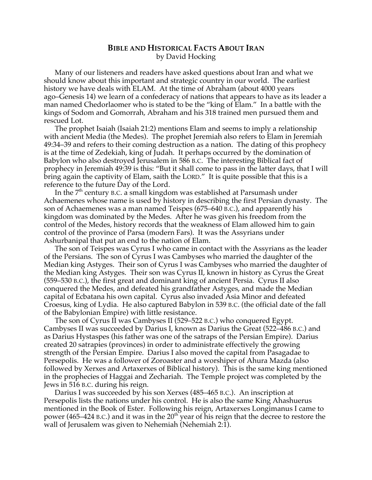## **BIBLE AND HISTORICAL FACTS ABOUT IRAN** by David Hocking

Many of our listeners and readers have asked questions about Iran and what we should know about this important and strategic country in our world. The earliest history we have deals with ELAM. At the time of Abraham (about 4000 years ago–Genesis 14) we learn of a confederacy of nations that appears to have as its leader a man named Chedorlaomer who is stated to be the "king of Elam." In a battle with the kings of Sodom and Gomorrah, Abraham and his 318 trained men pursued them and rescued Lot.

The prophet Isaiah (Isaiah 21:2) mentions Elam and seems to imply a relationship with ancient Media (the Medes). The prophet Jeremiah also refers to Elam in Jeremiah 49:34–39 and refers to their coming destruction as a nation. The dating of this prophecy is at the time of Zedekiah, king of Judah. It perhaps occurred by the domination of Babylon who also destroyed Jerusalem in 586 B.C. The interesting Biblical fact of prophecy in Jeremiah 49:39 is this: "But it shall come to pass in the latter days, that I will bring again the captivity of Elam, saith the LORD." It is quite possible that this is a reference to the future Day of the Lord.

In the  $7<sup>th</sup>$  century B.C. a small kingdom was established at Parsumash under Achaemenes whose name is used by history in describing the first Persian dynasty. The son of Achaemenes was a man named Teispes (675–640 B.C.), and apparently his kingdom was dominated by the Medes. After he was given his freedom from the control of the Medes, history records that the weakness of Elam allowed him to gain control of the province of Parsa (modern Fars). It was the Assyrians under Ashurbanipal that put an end to the nation of Elam.

The son of Teispes was Cyrus I who came in contact with the Assyrians as the leader of the Persians. The son of Cyrus I was Cambyses who married the daughter of the Median king Astyges. Their son of Cyrus I was Cambyses who married the daughter of the Median king Astyges. Their son was Cyrus II, known in history as Cyrus the Great (559–530 B.C.), the first great and dominant king of ancient Persia. Cyrus II also conquered the Medes, and defeated his grandfather Astyges, and made the Median capital of Ecbatana his own capital. Cyrus also invaded Asia Minor and defeated Croesus, king of Lydia. He also captured Babylon in 539 B.C. (the official date of the fall of the Babylonian Empire) with little resistance.

The son of Cyrus II was Cambyses II (529–522 B.C.) who conquered Egypt. Cambyses II was succeeded by Darius I, known as Darius the Great (522–486 B.C.) and as Darius Hystaspes (his father was one of the satraps of the Persian Empire). Darius created 20 satrapies (provinces) in order to administrate effectively the growing strength of the Persian Empire. Darius I also moved the capital from Pasagadae to Persepolis. He was a follower of Zoroaster and a worshiper of Ahura Mazda (also followed by Xerxes and Artaxerxes of Biblical history). This is the same king mentioned in the prophecies of Haggai and Zechariah. The Temple project was completed by the Jews in 516 B.C. during his reign.

Darius I was succeeded by his son Xerxes (485–465 B.C.). An inscription at Persepolis lists the nations under his control. He is also the same King Ahashuerus mentioned in the Book of Ester. Following his reign, Artaxerxes Longimanus I came to power (465–424 B.C.) and it was in the  $20<sup>th</sup>$  year of his reign that the decree to restore the wall of Jerusalem was given to Nehemiah (Nehemiah 2:1).